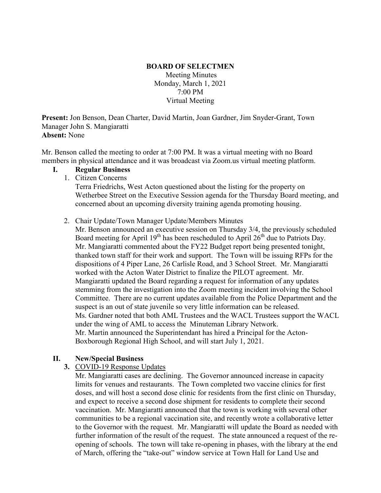## **BOARD OF SELECTMEN** Meeting Minutes Monday, March 1, 2021 7:00 PM Virtual Meeting

**Present:** Jon Benson, Dean Charter, David Martin, Joan Gardner, Jim Snyder-Grant, Town Manager John S. Mangiaratti **Absent:** None

Mr. Benson called the meeting to order at 7:00 PM. It was a virtual meeting with no Board members in physical attendance and it was broadcast via Zoom.us virtual meeting platform.

### **I. Regular Business**

1. Citizen Concerns

Terra Friedrichs, West Acton questioned about the listing for the property on Wetherbee Street on the Executive Session agenda for the Thursday Board meeting, and concerned about an upcoming diversity training agenda promoting housing.

2. Chair Update/Town Manager Update/Members Minutes

Mr. Benson announced an executive session on Thursday 3/4, the previously scheduled Board meeting for April  $19<sup>th</sup>$  has been rescheduled to April  $26<sup>th</sup>$  due to Patriots Day. Mr. Mangiaratti commented about the FY22 Budget report being presented tonight, thanked town staff for their work and support. The Town will be issuing RFPs for the dispositions of 4 Piper Lane, 26 Carlisle Road, and 3 School Street. Mr. Mangiaratti worked with the Acton Water District to finalize the PILOT agreement. Mr. Mangiaratti updated the Board regarding a request for information of any updates stemming from the investigation into the Zoom meeting incident involving the School Committee. There are no current updates available from the Police Department and the suspect is an out of state juvenile so very little information can be released. Ms. Gardner noted that both AML Trustees and the WACL Trustees support the WACL under the wing of AML to access the Minuteman Library Network. Mr. Martin announced the Superintendant has hired a Principal for the Acton-Boxborough Regional High School, and will start July 1, 2021.

# **II. New/Special Business**

**3.** COVID-19 Response Updates

Mr. Mangiaratti cases are declining. The Governor announced increase in capacity limits for venues and restaurants. The Town completed two vaccine clinics for first doses, and will host a second dose clinic for residents from the first clinic on Thursday, and expect to receive a second dose shipment for residents to complete their second vaccination. Mr. Mangiaratti announced that the town is working with several other communities to be a regional vaccination site, and recently wrote a collaborative letter to the Governor with the request. Mr. Mangiaratti will update the Board as needed with further information of the result of the request. The state announced a request of the reopening of schools. The town will take re-opening in phases, with the library at the end of March, offering the "take-out" window service at Town Hall for Land Use and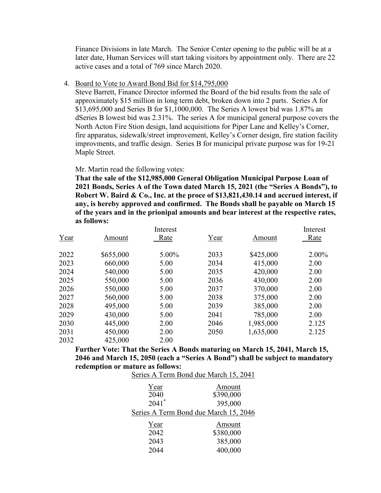Finance Divisions in late March. The Senior Center opening to the public will be at a later date, Human Services will start taking visitors by appointment only. There are 22 active cases and a total of 769 since March 2020.

#### 4. Board to Vote to Award Bond Bid for \$14,795,000

Steve Barrett, Finance Director informed the Board of the bid results from the sale of approximately \$15 million in long term debt, broken down into 2 parts. Series A for \$13,695,000 and Series B for \$1,1000,000. The Series A lowest bid was 1.87% an dSeries B lowest bid was 2.31%. The series A for municipal general purpose covers the North Acton Fire Stion design, land acquisitions for Piper Lane and Kelley's Corner, fire apparatus, sidewalk/street improvement, Kelley's Corner design, fire station facility improvments, and traffic design. Series B for municipal private purpose was for 19-21 Maple Street.

### Mr. Martin read the following votes:

**That the sale of the \$12,985,000 General Obligation Municipal Purpose Loan of 2021 Bonds, Series A of the Town dated March 15, 2021 (the "Series A Bonds"), to Robert W. Baird & Co., Inc. at the proce of \$13,821,430.14 and accrued interest, if any, is hereby approved and confirmed. The Bonds shall be payable on March 15 of the years and in the prionipal amounts and bear interest at the respective rates, as follows:**

|      |           | Interest |      |           | Interest |
|------|-----------|----------|------|-----------|----------|
| Year | Amount    | Rate     | Year | Amount    | Rate     |
|      |           |          |      |           |          |
| 2022 | \$655,000 | 5.00%    | 2033 | \$425,000 | $2.00\%$ |
| 2023 | 660,000   | 5.00     | 2034 | 415,000   | 2.00     |
| 2024 | 540,000   | 5.00     | 2035 | 420,000   | 2.00     |
| 2025 | 550,000   | 5.00     | 2036 | 430,000   | 2.00     |
| 2026 | 550,000   | 5.00     | 2037 | 370,000   | 2.00     |
| 2027 | 560,000   | 5.00     | 2038 | 375,000   | 2.00     |
| 2028 | 495,000   | 5.00     | 2039 | 385,000   | 2.00     |
| 2029 | 430,000   | 5.00     | 2041 | 785,000   | 2.00     |
| 2030 | 445,000   | 2.00     | 2046 | 1,985,000 | 2.125    |
| 2031 | 450,000   | 2.00     | 2050 | 1,635,000 | 2.125    |
| 2032 | 425,000   | 2.00     |      |           |          |

**Further Vote: That the Series A Bonds maturing on March 15, 2041, March 15, 2046 and March 15, 2050 (each a "Series A Bond") shall be subject to mandatory redemption or mature as follows:**

| Series A Term Bond due March 15, 2041 |           |  |
|---------------------------------------|-----------|--|
| Year                                  | Amount    |  |
| 2040                                  | \$390,000 |  |
| $2041$ <sup>*</sup>                   | 395,000   |  |
| Series A Term Bond due March 15, 2046 |           |  |
| Year                                  | Amount    |  |
| 2042                                  | \$380,000 |  |
| 2043                                  | 385,000   |  |
| 2044                                  | 400,000   |  |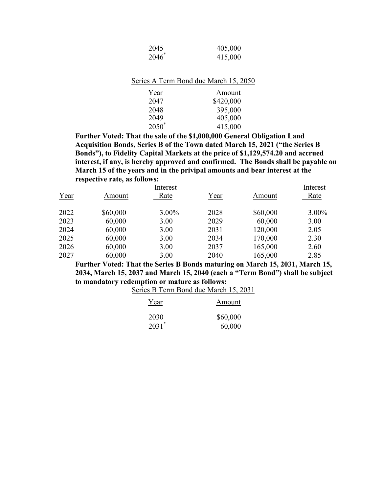| 2045     | 405,000 |
|----------|---------|
| $2046^*$ | 415,000 |

|  | Series A Term Bond due March 15, 2050 |  |  |  |  |  |  |
|--|---------------------------------------|--|--|--|--|--|--|
|--|---------------------------------------|--|--|--|--|--|--|

| Year     | Amount    |
|----------|-----------|
| 2047     | \$420,000 |
| 2048     | 395,000   |
| 2049     | 405,000   |
| $2050^*$ | 415,000   |

**Further Voted: That the sale of the \$1,000,000 General Obligation Land Acquisition Bonds, Series B of the Town dated March 15, 2021 ("the Series B Bonds"), to Fidelity Capital Markets at the price of \$1,129,574.20 and accrued interest, if any, is hereby approved and confirmed. The Bonds shall be payable on March 15 of the years and in the privipal amounts and bear interest at the respective rate, as follows:**

|      |          | Interest |      |          | Interest |
|------|----------|----------|------|----------|----------|
| Year | Amount   | Rate     | Year | Amount   | Rate     |
| 2022 | \$60,000 | 3.00%    | 2028 | \$60,000 | $3.00\%$ |
| 2023 | 60,000   | 3.00     | 2029 | 60,000   | 3.00     |
| 2024 | 60,000   | 3.00     | 2031 | 120,000  | 2.05     |
| 2025 | 60,000   | 3.00     | 2034 | 170,000  | 2.30     |
| 2026 | 60,000   | 3.00     | 2037 | 165,000  | 2.60     |
| 2027 | 60,000   | 3.00     | 2040 | 165,000  | 2.85     |

**Further Voted: That the Series B Bonds maturing on March 15, 2031, March 15, 2034, March 15, 2037 and March 15, 2040 (each a "Term Bond") shall be subject to mandatory redemption or mature as follows:**

Series B Term Bond due March 15, 2031

| Year                | Amount   |
|---------------------|----------|
| 2030                | \$60,000 |
| $2031$ <sup>*</sup> | 60,000   |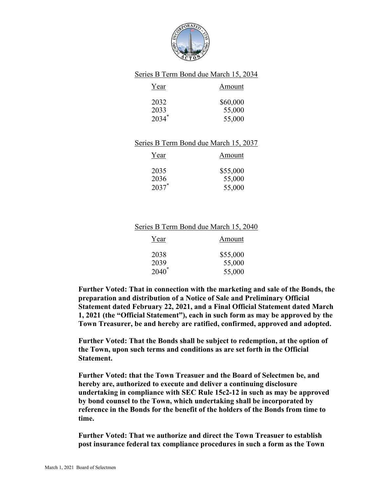

## Series B Term Bond due March 15, 2034

| Year     | Amount   |
|----------|----------|
| 2032     | \$60,000 |
| 2033     | 55,000   |
| $2034^*$ | 55,000   |

### Series B Term Bond due March 15, 2037

| Year     | Amount   |
|----------|----------|
| 2035     | \$55,000 |
| 2036     | 55,000   |
| $2037$ * | 55,000   |

#### Series B Term Bond due March 15, 2040

| Year     | Amount   |
|----------|----------|
| 2038     | \$55,000 |
| 2039     | 55,000   |
| $2040^*$ | 55,000   |

**Further Voted: That in connection with the marketing and sale of the Bonds, the preparation and distribution of a Notice of Sale and Preliminary Official Statement dated February 22, 2021, and a Final Official Statement dated March 1, 2021 (the "Official Statement"), each in such form as may be approved by the Town Treasurer, be and hereby are ratified, confirmed, approved and adopted.**

**Further Voted: That the Bonds shall be subject to redemption, at the option of the Town, upon such terms and conditions as are set forth in the Official Statement.**

**Further Voted: that the Town Treasuer and the Board of Selectmen be, and hereby are, authorized to execute and deliver a continuing disclosure undertaking in compliance with SEC Rule 15c2-12 in such as may be approved by bond counsel to the Town, which undertaking shall be incorporated by reference in the Bonds for the benefit of the holders of the Bonds from time to time.**

**Further Voted: That we authorize and direct the Town Treasuer to establish post insurance federal tax compliance procedures in such a form as the Town**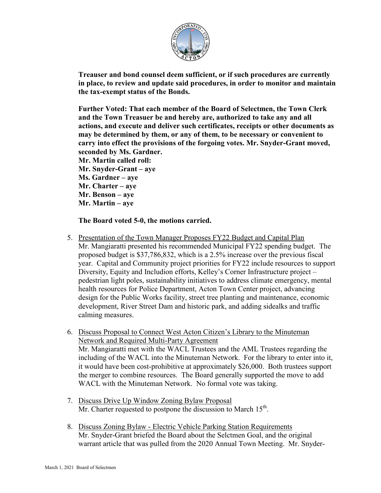

**Treauser and bond counsel deem sufficient, or if such procedures are currently in place, to review and update said procedures, in order to monitor and maintain the tax-exempt status of the Bonds.**

**Further Voted: That each member of the Board of Selectmen, the Town Clerk and the Town Treasuer be and hereby are, authorized to take any and all actions, and execute and deliver such certificates, receipts or other documents as may be determined by them, or any of them, to be necessary or convenient to carry into effect the provisions of the forgoing votes. Mr. Snyder-Grant moved, seconded by Ms. Gardner.**

**Mr. Martin called roll: Mr. Snyder-Grant – aye Ms. Gardner – aye**

- **Mr. Charter – aye**
- **Mr. Benson – aye**
- **Mr. Martin – aye**

**The Board voted 5-0, the motions carried.**

- 5. Presentation of the Town Manager Proposes FY22 Budget and Capital Plan Mr. Mangiaratti presented his recommended Municipal FY22 spending budget. The proposed budget is \$37,786,832, which is a 2.5% increase over the previous fiscal year. Capital and Community project priorities for FY22 include resources to support Diversity, Equity and Includion efforts, Kelley's Corner Infrastructure project – pedestrian light poles, sustainability initiatives to address climate emergency, mental health resources for Police Department, Acton Town Center project, advancing design for the Public Works facility, street tree planting and maintenance, economic development, River Street Dam and historic park, and adding sidealks and traffic calming measures.
- 6. Discuss Proposal to Connect West Acton Citizen's Library to the Minuteman Network and Required Multi-Party Agreement Mr. Mangiaratti met with the WACL Trustees and the AML Trustees regarding the including of the WACL into the Minuteman Network. For the library to enter into it, it would have been cost-prohibitive at approximately \$26,000. Both trustees support the merger to combine resources. The Board generally supported the move to add WACL with the Minuteman Network. No formal vote was taking.
- 7. Discuss Drive Up Window Zoning Bylaw Proposal Mr. Charter requested to postpone the discussion to March  $15<sup>th</sup>$ .
- 8. Discuss Zoning Bylaw Electric Vehicle Parking Station Requirements Mr. Snyder-Grant briefed the Board about the Selctmen Goal, and the original warrant article that was pulled from the 2020 Annual Town Meeting. Mr. Snyder-